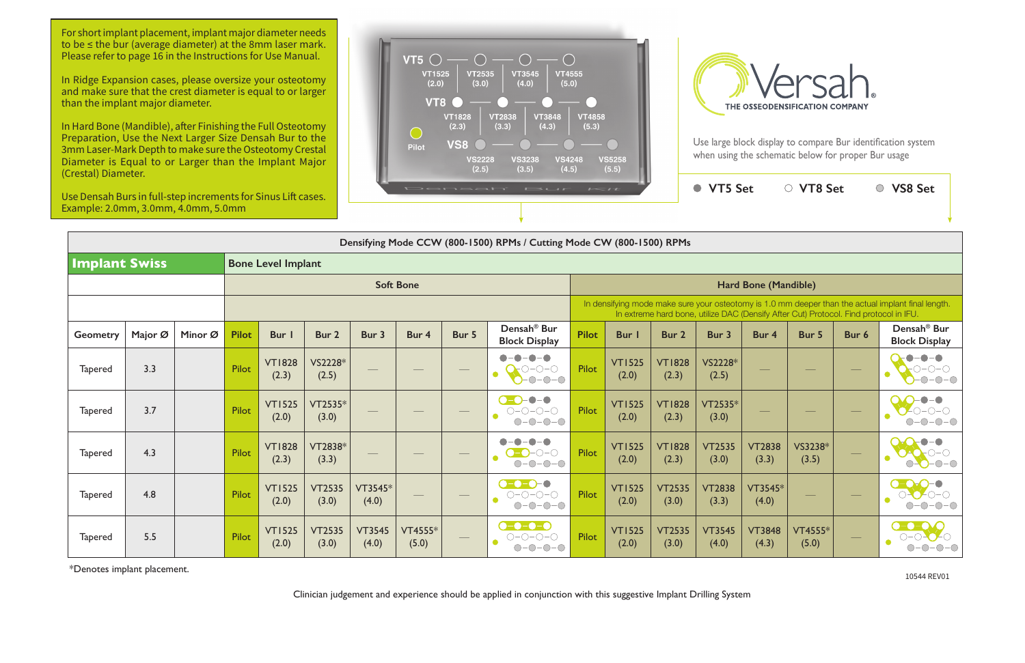Use large block display to compare Bur identification system when using the schematic below for proper Bur usage

| Cicstal) Dialitelei.<br>Use Densah Burs in full-step increments for Sinus Lift cases.<br>Example: 2.0mm, 3.0mm, 4.0mm, 5.0mm |                                                                                                                            |         |                  |                        |                        | Densah' Bur<br>$I = I$ |                  |                               |                                                                                                                 |              |                                                                                                                                                                                             |                        | ● VT5 Set              |                        | ○ VT8 Set        |       | ○ VS8 Set                                        |  |  |
|------------------------------------------------------------------------------------------------------------------------------|----------------------------------------------------------------------------------------------------------------------------|---------|------------------|------------------------|------------------------|------------------------|------------------|-------------------------------|-----------------------------------------------------------------------------------------------------------------|--------------|---------------------------------------------------------------------------------------------------------------------------------------------------------------------------------------------|------------------------|------------------------|------------------------|------------------|-------|--------------------------------------------------|--|--|
|                                                                                                                              |                                                                                                                            |         |                  |                        |                        |                        |                  |                               |                                                                                                                 |              |                                                                                                                                                                                             |                        |                        |                        |                  |       |                                                  |  |  |
|                                                                                                                              | Densifying Mode CCW (800-1500) RPMs / Cutting Mode CW (800-1500) RPMs<br><b>Implant Swiss</b><br><b>Bone Level Implant</b> |         |                  |                        |                        |                        |                  |                               |                                                                                                                 |              |                                                                                                                                                                                             |                        |                        |                        |                  |       |                                                  |  |  |
|                                                                                                                              |                                                                                                                            |         | <b>Soft Bone</b> |                        |                        |                        |                  |                               |                                                                                                                 |              | Hard Bone (Mandible)                                                                                                                                                                        |                        |                        |                        |                  |       |                                                  |  |  |
|                                                                                                                              |                                                                                                                            |         |                  |                        |                        |                        |                  |                               |                                                                                                                 |              | In densifying mode make sure your osteotomy is 1.0 mm deeper than the actual implant final length.<br>In extreme hard bone, utilize DAC (Densify After Cut) Protocol. Find protocol in IFU. |                        |                        |                        |                  |       |                                                  |  |  |
| Geometry                                                                                                                     | Major Ø                                                                                                                    | Minor Ø | <b>Pilot</b>     | Bur                    | Bur 2                  | Bur 3                  | Bur 4            | Bur 5                         | Densah <sup>®</sup> Bur<br><b>Block Display</b>                                                                 | <b>Pilot</b> | Bur                                                                                                                                                                                         | Bur 2                  | Bur 3                  | Bur 4                  | Bur 5            | Bur 6 | Densah <sup>®</sup> Bur<br><b>Block Display</b>  |  |  |
| <b>Tapered</b>                                                                                                               | 3.3                                                                                                                        |         | Pilot            | <b>VT1828</b><br>(2.3) | VS2228*<br>(2.5)       |                        |                  |                               | $\begin{array}{c} -\bullet\\ -\bullet \end{array}$<br>$-\bigcirc$<br>$\bigcirc$ -0-0-0<br>$\bullet$<br>$-0-0-0$ | Pilot        | <b>VT1525</b><br>(2.0)                                                                                                                                                                      | <b>VT1828</b><br>(2.3) | VS2228*<br>(2.5)       |                        |                  |       | -0-0<br>$O-O-O$<br>$\bullet$<br>$-0$ - $  \odot$ |  |  |
| <b>Tapered</b>                                                                                                               | 3.7                                                                                                                        |         | Pilot            | <b>VT1525</b><br>(2.0) | VT2535*<br>(3.0)       |                        |                  |                               | $-\bullet-\bullet$<br>$\bullet$ -O-<br>$O-O-O-O$<br>$O-O-O-O$                                                   | Pilot        | <b>VT1525</b><br>(2.0)                                                                                                                                                                      | <b>VT1828</b><br>(2.3) | VT2535*<br>(3.0)       |                        |                  |       |                                                  |  |  |
| <b>Tapered</b>                                                                                                               | 4.3                                                                                                                        |         | Pilot            | <b>VT1828</b><br>(2.3) | VT2838*<br>(3.3)       |                        |                  | $\overbrace{\phantom{13333}}$ | $ \bullet$<br>$\bullet$ -<br>$O-O-O-O$<br>$O-O-O-O$                                                             | Pilot        | <b>VT1525</b><br>(2.0)                                                                                                                                                                      | <b>VT1828</b><br>(2.3) | <b>VT2535</b><br>(3.0) | <b>VT2838</b><br>(3.3) | VS3238*<br>(3.5) |       | $ \bigcirc$ $ \bigcirc$                          |  |  |
| <b>Tapered</b>                                                                                                               | 4.8                                                                                                                        |         | Pilot            | <b>VT1525</b><br>(2.0) | <b>VT2535</b><br>(3.0) | VT3545*<br>(4.0)       |                  |                               | $\bullet$ -0-0-0<br>$\bigcirc\negmedspace-\bigcirc\negmedspace-\bigcirc\negmedspace-\bigcirc$<br>$O-O-O-O$      | Pilot        | <b>VT1525</b><br>(2.0)                                                                                                                                                                      | <b>VT2535</b><br>(3.0) | <b>VT2838</b><br>(3.3) | VT3545*<br>(4.0)       |                  |       | $\bullet$<br>$-0-0-0$                            |  |  |
| <b>Tapered</b>                                                                                                               | 5.5                                                                                                                        |         | Pilot            | <b>VT1525</b><br>(2.0) | <b>VT2535</b><br>(3.0) | <b>VT3545</b><br>(4.0) | VT4555*<br>(5.0) |                               | $\bullet$ - $\bullet$ - $\bullet$ - $\bullet$<br>$O-O-O-O$<br>$O-O-O-O$                                         | Pilot        | <b>VT1525</b><br>(2.0)                                                                                                                                                                      | <b>VT2535</b><br>(3.0) | <b>VT3545</b><br>(4.0) | <b>VT3848</b><br>(4.3) | VT4555*<br>(5.0) |       | $\rightarrow$<br>$\bigcap -\bigcap$              |  |  |

\*Denotes implant placement.

Clinician judgement and experience should be applied in conjunction with this suggestive Implant Drilling System



10544 REV01

For short implant placement, implant major diameter needs to be ≤ the bur (average diameter) at the 8mm laser mark. Please refer to page 16 in the Instructions for Use Manual.

In Ridge Expansion cases, please oversize your osteotomy and make sure that the crest diameter is equal to or larger than the implant major diameter.

In Hard Bone (Mandible), after Finishing the Full Osteotomy Preparation, Use the Next Larger Size Densah Bur to the 3mm Laser-Mark Depth to make sure the Osteotomy Crestal Diameter is Equal to or Larger than the Implant Major (Crestal) Diameter.

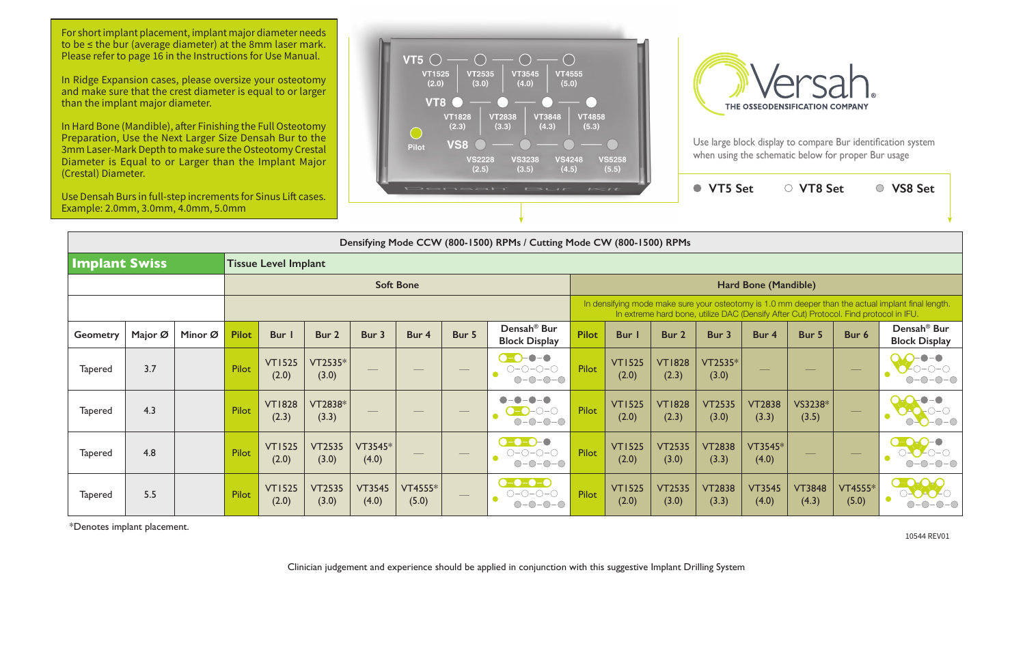| Densifying Mode CCW (800-1500) RPMs / Cutting Mode CW (800-1500) RPMs |         |         |                  |                             |                        |                        |                  |       |                                                                                   |                                                                                                                                                                                             |                        |                        |                        |                        |                        |                  |                                                 |  |  |
|-----------------------------------------------------------------------|---------|---------|------------------|-----------------------------|------------------------|------------------------|------------------|-------|-----------------------------------------------------------------------------------|---------------------------------------------------------------------------------------------------------------------------------------------------------------------------------------------|------------------------|------------------------|------------------------|------------------------|------------------------|------------------|-------------------------------------------------|--|--|
| <b>Implant Swiss</b>                                                  |         |         |                  | <b>Tissue Level Implant</b> |                        |                        |                  |       |                                                                                   |                                                                                                                                                                                             |                        |                        |                        |                        |                        |                  |                                                 |  |  |
|                                                                       |         |         | <b>Soft Bone</b> |                             |                        |                        |                  |       |                                                                                   |                                                                                                                                                                                             | Hard Bone (Mandible)   |                        |                        |                        |                        |                  |                                                 |  |  |
|                                                                       |         |         |                  |                             |                        |                        |                  |       |                                                                                   | In densifying mode make sure your osteotomy is 1.0 mm deeper than the actual implant final length.<br>In extreme hard bone, utilize DAC (Densify After Cut) Protocol. Find protocol in IFU. |                        |                        |                        |                        |                        |                  |                                                 |  |  |
| <b>Geometry</b>                                                       | Major Ø | Minor Ø | <b>Pilot</b>     | <b>Bur</b>                  | Bur 2                  | Bur 3                  | Bur 4            | Bur 5 | Densah <sup>®</sup> Bur<br><b>Block Display</b>                                   | <b>Pilot</b>                                                                                                                                                                                | Bur I                  | Bur 2                  | Bur 3                  | Bur 4                  | Bur 5                  | Bur 6            | Densah <sup>®</sup> Bur<br><b>Block Display</b> |  |  |
| <b>Tapered</b>                                                        | 3.7     |         | Pilot            | <b>VT1525</b><br>(2.0)      | VT2535*<br>(3.0)       |                        |                  |       | $\bullet$ - $\bullet$<br>∩−∩−∩−∩                                                  | Pilot                                                                                                                                                                                       | <b>VT1525</b><br>(2.0) | <b>VT1828</b><br>(2.3) | VT2535*<br>(3.0)       |                        |                        |                  |                                                 |  |  |
| <b>Tapered</b>                                                        | 4.3     |         | <b>Pilot</b>     | <b>VT1828</b><br>(2.3)      | VT2838*<br>(3.3)       |                        |                  |       |                                                                                   | Pilot                                                                                                                                                                                       | <b>VT1525</b><br>(2.0) | <b>VT1828</b><br>(2.3) | <b>VT2535</b><br>(3.0) | <b>VT2838</b><br>(3.3) | VS3238*<br>(3.5)       |                  |                                                 |  |  |
| <b>Tapered</b>                                                        | 4.8     |         | <b>Pilot</b>     | <b>VT1525</b><br>(2.0)      | <b>VT2535</b><br>(3.0) | $VT3545*$<br>(4.0)     |                  |       | $\bullet$ - $\bullet$ - $\bullet$ -<br>-0<br>$O-O-O-O$<br>$\bigcirc$ - $\bigcirc$ | Pilot                                                                                                                                                                                       | <b>VT1525</b><br>(2.0) | <b>VT2535</b><br>(3.0) | <b>VT2838</b><br>(3.3) | $VT3545*$<br>(4.0)     |                        |                  |                                                 |  |  |
| <b>Tapered</b>                                                        | 5.5     |         | Pilot            | <b>VT1525</b><br>(2.0)      | <b>VT2535</b><br>(3.0) | <b>VT3545</b><br>(4.0) | VT4555*<br>(5.0) |       | $\bullet$ - $\bullet$ - $\bullet$ - $\bullet$                                     | Pilot                                                                                                                                                                                       | <b>VT1525</b><br>(2.0) | <b>VT2535</b><br>(3.0) | <b>VT2838</b><br>(3.3) | <b>VT3545</b><br>(4.0) | <b>VT3848</b><br>(4.3) | VT4555*<br>(5.0) |                                                 |  |  |

| $\sim$ $\tau$                                                                                                                                                                               |                        |                        | <b>VT5 Set</b>         |                        | VT8 Set                |                  | <b>VS8 Set</b>                                  |  |  |  |  |  |  |
|---------------------------------------------------------------------------------------------------------------------------------------------------------------------------------------------|------------------------|------------------------|------------------------|------------------------|------------------------|------------------|-------------------------------------------------|--|--|--|--|--|--|
|                                                                                                                                                                                             |                        |                        |                        |                        |                        |                  |                                                 |  |  |  |  |  |  |
|                                                                                                                                                                                             | le CW (800-1500) RPMs  |                        |                        |                        |                        |                  |                                                 |  |  |  |  |  |  |
|                                                                                                                                                                                             |                        |                        |                        |                        |                        |                  |                                                 |  |  |  |  |  |  |
| Hard Bone (Mandible)                                                                                                                                                                        |                        |                        |                        |                        |                        |                  |                                                 |  |  |  |  |  |  |
| In densifying mode make sure your osteotomy is 1.0 mm deeper than the actual implant final length.<br>In extreme hard bone, utilize DAC (Densify After Cut) Protocol. Find protocol in IFU. |                        |                        |                        |                        |                        |                  |                                                 |  |  |  |  |  |  |
| ilot                                                                                                                                                                                        | Bur I                  | Bur <sub>2</sub>       | Bur 3                  | Bur 4                  | Bur 5                  | Bur 6            | Densah <sup>®</sup> Bur<br><b>Block Display</b> |  |  |  |  |  |  |
| ilot                                                                                                                                                                                        | <b>VT1525</b><br>(2.0) | <b>VT1828</b><br>(2.3) | VT2535*<br>(3.0)       |                        |                        |                  |                                                 |  |  |  |  |  |  |
| ilot                                                                                                                                                                                        | <b>VT1525</b><br>(2.0) | <b>VT1828</b><br>(2.3) | <b>VT2535</b><br>(3.0) | <b>VT2838</b><br>(3.3) | VS3238*<br>(3.5)       |                  |                                                 |  |  |  |  |  |  |
| ilot                                                                                                                                                                                        | <b>VT1525</b><br>(2.0) | <b>VT2535</b><br>(3.0) | <b>VT2838</b><br>(3.3) | VT3545*<br>(4.0)       |                        |                  |                                                 |  |  |  |  |  |  |
| ilot                                                                                                                                                                                        | <b>VT1525</b><br>(2.0) | <b>VT2535</b><br>(3.0) | <b>VT2838</b><br>(3.3) | <b>VT3545</b><br>(4.0) | <b>VT3848</b><br>(4.3) | VT4555*<br>(5.0) |                                                 |  |  |  |  |  |  |

For short implant placement, implant major diameter needs to be ≤ the bur (average diameter) at the 8mm laser mark. Please refer to page 16 in the Instructions for Use Manual.

\*Denotes implant placement.

Clinician judgement and experience should be applied in conjunction with this suggestive Implant Drilling System



Use large block display to compare Bur identification system when using the schematic below for proper Bur usage



10544 REV01

In Ridge Expansion cases, please oversize your osteotomy and make sure that the crest diameter is equal to or larger than the implant major diameter.

In Hard Bone (Mandible), after Finishing the Full Osteotomy Preparation, Use the Next Larger Size Densah Bur to the 3mm Laser-Mark Depth to make sure the Osteotomy Crestal Diameter is Equal to or Larger than the Implant Major (Crestal) Diameter.

Use Densah Burs in full-step increments for Sinus Lift cases. Example: 2.0mm, 3.0mm, 4.0mm, 5.0mm